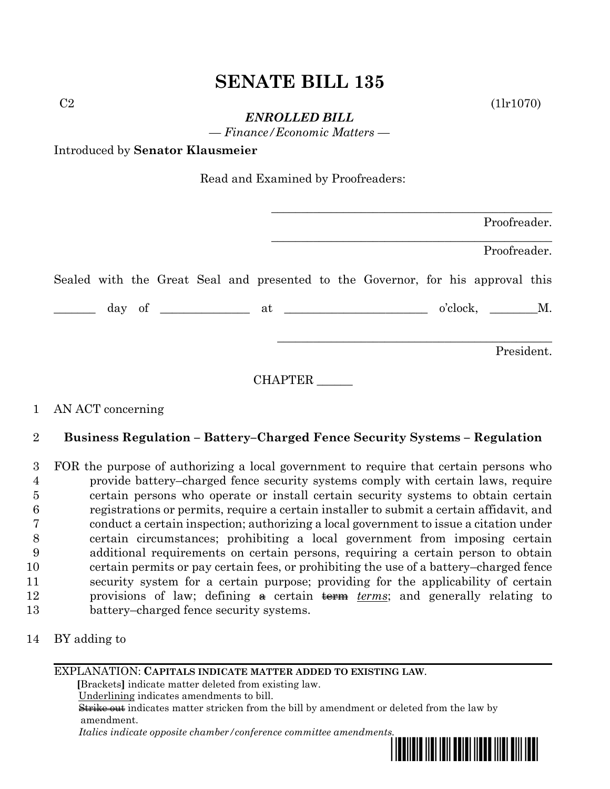# **SENATE BILL 135**

 $C2$  (1lr1070)

*ENROLLED BILL*

*— Finance/Economic Matters —*

Introduced by **Senator Klausmeier**

Read and Examined by Proofreaders:

| Proofreader.                                                                                                                                                                                                                                                                                                                                                                                                                    |
|---------------------------------------------------------------------------------------------------------------------------------------------------------------------------------------------------------------------------------------------------------------------------------------------------------------------------------------------------------------------------------------------------------------------------------|
| Proofreader.                                                                                                                                                                                                                                                                                                                                                                                                                    |
| Sealed with the Great Seal and presented to the Governor, for his approval this                                                                                                                                                                                                                                                                                                                                                 |
| $\frac{1}{\sqrt{1-\frac{1}{2}}}\frac{1}{\sqrt{1-\frac{1}{2}}}\frac{1}{\sqrt{1-\frac{1}{2}}}\frac{1}{\sqrt{1-\frac{1}{2}}}\frac{1}{\sqrt{1-\frac{1}{2}}}\frac{1}{\sqrt{1-\frac{1}{2}}}\frac{1}{\sqrt{1-\frac{1}{2}}}\frac{1}{\sqrt{1-\frac{1}{2}}}\frac{1}{\sqrt{1-\frac{1}{2}}}\frac{1}{\sqrt{1-\frac{1}{2}}}\frac{1}{\sqrt{1-\frac{1}{2}}}\frac{1}{\sqrt{1-\frac{1}{2}}}\frac{1}{\sqrt{1-\frac{1}{2}}}\frac{1}{\sqrt{1-\frac{$ |
| President.                                                                                                                                                                                                                                                                                                                                                                                                                      |

CHAPTER \_\_\_\_\_\_

## 1 AN ACT concerning

## 2 **Business Regulation – Battery–Charged Fence Security Systems – Regulation**

 FOR the purpose of authorizing a local government to require that certain persons who provide battery–charged fence security systems comply with certain laws, require certain persons who operate or install certain security systems to obtain certain registrations or permits, require a certain installer to submit a certain affidavit, and conduct a certain inspection; authorizing a local government to issue a citation under certain circumstances; prohibiting a local government from imposing certain additional requirements on certain persons, requiring a certain person to obtain certain permits or pay certain fees, or prohibiting the use of a battery–charged fence security system for a certain purpose; providing for the applicability of certain 12 provisions of law; defining  $\theta$  certain term *terms*; and generally relating to battery–charged fence security systems.

14 BY adding to

## EXPLANATION: **CAPITALS INDICATE MATTER ADDED TO EXISTING LAW**.

 **[**Brackets**]** indicate matter deleted from existing law.

Underlining indicates amendments to bill.

 Strike out indicates matter stricken from the bill by amendment or deleted from the law by amendment.

 *Italics indicate opposite chamber/conference committee amendments.*

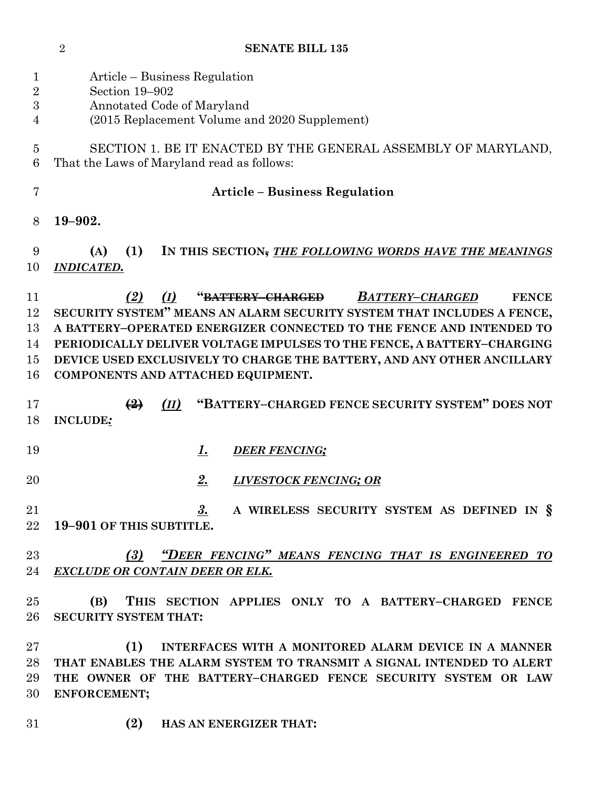| <b>SENATE BILL 135</b> |
|------------------------|
|                        |

| $\mathbf{1}$<br>$\overline{2}$<br>$\boldsymbol{3}$<br>4 | Article – Business Regulation<br>Section 19-902<br>Annotated Code of Maryland<br>(2015 Replacement Volume and 2020 Supplement)                                                                                                                                                                                                                                                                                                  |
|---------------------------------------------------------|---------------------------------------------------------------------------------------------------------------------------------------------------------------------------------------------------------------------------------------------------------------------------------------------------------------------------------------------------------------------------------------------------------------------------------|
| 5<br>6                                                  | SECTION 1. BE IT ENACTED BY THE GENERAL ASSEMBLY OF MARYLAND,<br>That the Laws of Maryland read as follows:                                                                                                                                                                                                                                                                                                                     |
| 7                                                       | <b>Article – Business Regulation</b>                                                                                                                                                                                                                                                                                                                                                                                            |
| 8                                                       | 19-902.                                                                                                                                                                                                                                                                                                                                                                                                                         |
| 9<br>10                                                 | (1)<br>IN THIS SECTION, THE FOLLOWING WORDS HAVE THE MEANINGS<br>(A)<br><b>INDICATED.</b>                                                                                                                                                                                                                                                                                                                                       |
| 11<br>12<br>13<br>14<br>15<br>16                        | (2)<br><b>BATTERY-CHARGED</b><br>(I)<br>" <del>BATTERY-CHARGED</del><br><b>FENCE</b><br>SECURITY SYSTEM" MEANS AN ALARM SECURITY SYSTEM THAT INCLUDES A FENCE,<br>A BATTERY-OPERATED ENERGIZER CONNECTED TO THE FENCE AND INTENDED TO<br>PERIODICALLY DELIVER VOLTAGE IMPULSES TO THE FENCE, A BATTERY-CHARGING<br>DEVICE USED EXCLUSIVELY TO CHARGE THE BATTERY, AND ANY OTHER ANCILLARY<br>COMPONENTS AND ATTACHED EQUIPMENT. |
| 17<br>18                                                | "BATTERY-CHARGED FENCE SECURITY SYSTEM" DOES NOT<br>$\left(\frac{9}{2}\right)$<br>(II)<br><b>INCLUDE:</b>                                                                                                                                                                                                                                                                                                                       |
| 19                                                      | <u>1.</u><br><b>DEER FENCING;</b>                                                                                                                                                                                                                                                                                                                                                                                               |
| $\overline{20}$                                         | 2.<br>LIVESTOCK FENCING; OR                                                                                                                                                                                                                                                                                                                                                                                                     |
| 21                                                      | <u>3.</u><br>A WIRELESS SECURITY SYSTEM AS DEFINED IN §<br>22 19-901 OF THIS SUBTITLE.                                                                                                                                                                                                                                                                                                                                          |
| $23\,$<br>24                                            | "DEER FENCING" MEANS FENCING THAT IS ENGINEERED TO<br>(3)<br><b>EXCLUDE OR CONTAIN DEER OR ELK.</b>                                                                                                                                                                                                                                                                                                                             |
| $25\,$<br>$26\,$                                        | (B) THIS SECTION APPLIES ONLY TO A BATTERY-CHARGED FENCE<br><b>SECURITY SYSTEM THAT:</b>                                                                                                                                                                                                                                                                                                                                        |
| $27\,$<br>28<br>29<br>30                                | INTERFACES WITH A MONITORED ALARM DEVICE IN A MANNER<br>(1)<br>THAT ENABLES THE ALARM SYSTEM TO TRANSMIT A SIGNAL INTENDED TO ALERT<br>THE OWNER OF THE BATTERY-CHARGED FENCE SECURITY SYSTEM OR LAW<br>ENFORCEMENT;                                                                                                                                                                                                            |
| 31                                                      | (2)<br>HAS AN ENERGIZER THAT:                                                                                                                                                                                                                                                                                                                                                                                                   |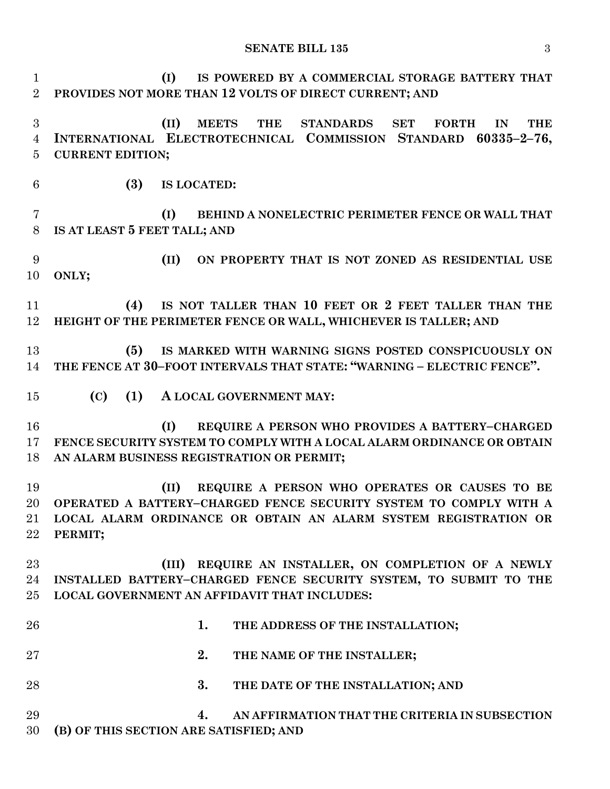### **SENATE BILL 135** 3

 **(I) IS POWERED BY A COMMERCIAL STORAGE BATTERY THAT PROVIDES NOT MORE THAN 12 VOLTS OF DIRECT CURRENT; AND (II) MEETS THE STANDARDS SET FORTH IN THE INTERNATIONAL ELECTROTECHNICAL COMMISSION STANDARD 60335–2–76, CURRENT EDITION; (3) IS LOCATED: (I) BEHIND A NONELECTRIC PERIMETER FENCE OR WALL THAT IS AT LEAST 5 FEET TALL; AND (II) ON PROPERTY THAT IS NOT ZONED AS RESIDENTIAL USE ONLY; (4) IS NOT TALLER THAN 10 FEET OR 2 FEET TALLER THAN THE HEIGHT OF THE PERIMETER FENCE OR WALL, WHICHEVER IS TALLER; AND (5) IS MARKED WITH WARNING SIGNS POSTED CONSPICUOUSLY ON THE FENCE AT 30–FOOT INTERVALS THAT STATE: "WARNING – ELECTRIC FENCE". (C) (1) A LOCAL GOVERNMENT MAY: (I) REQUIRE A PERSON WHO PROVIDES A BATTERY–CHARGED FENCE SECURITY SYSTEM TO COMPLY WITH A LOCAL ALARM ORDINANCE OR OBTAIN AN ALARM BUSINESS REGISTRATION OR PERMIT; (II) REQUIRE A PERSON WHO OPERATES OR CAUSES TO BE OPERATED A BATTERY–CHARGED FENCE SECURITY SYSTEM TO COMPLY WITH A LOCAL ALARM ORDINANCE OR OBTAIN AN ALARM SYSTEM REGISTRATION OR PERMIT; (III) REQUIRE AN INSTALLER, ON COMPLETION OF A NEWLY INSTALLED BATTERY–CHARGED FENCE SECURITY SYSTEM, TO SUBMIT TO THE LOCAL GOVERNMENT AN AFFIDAVIT THAT INCLUDES: 1. THE ADDRESS OF THE INSTALLATION; 2. THE NAME OF THE INSTALLER; 3. THE DATE OF THE INSTALLATION; AND 4. AN AFFIRMATION THAT THE CRITERIA IN SUBSECTION (B) OF THIS SECTION ARE SATISFIED; AND**